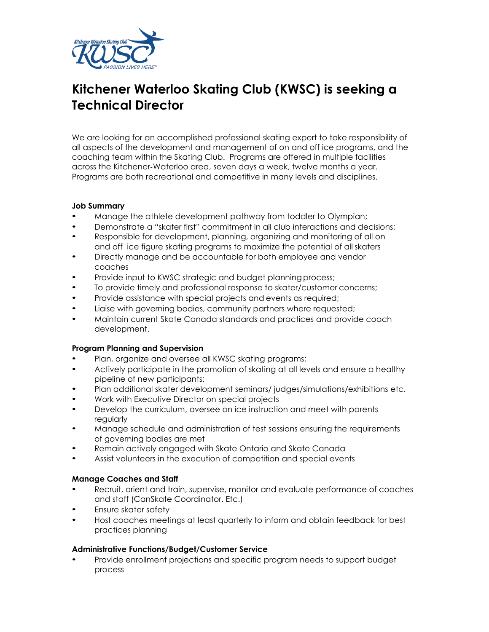

# **Kitchener Waterloo Skating Club (KWSC) is seeking a Technical Director**

We are looking for an accomplished professional skating expert to take responsibility of all aspects of the development and management of on and off ice programs, and the coaching team within the Skating Club. Programs are offered in multiple facilities across the Kitchener‐Waterloo area, seven days a week, twelve months a year. Programs are both recreational and competitive in many levels and disciplines.

#### **Job Summary**

- Manage the athlete development pathway from toddler to Olympian;
- Demonstrate a "skater first" commitment in all club interactions and decisions;
- Responsible for development, planning, organizing and monitoring of all on and off ice figure skating programs to maximize the potential of all skaters
- Directly manage and be accountable for both employee and vendor coaches
- Provide input to KWSC strategic and budget planning process;
- To provide timely and professional response to skater/customer concerns;
- Provide assistance with special projects and events as required;
- Liaise with governing bodies, community partners where requested;
- Maintain current Skate Canada standards and practices and provide coach development.

#### **Program Planning and Supervision**

- Plan, organize and oversee all KWSC skating programs;
- Actively participate in the promotion of skating at all levels and ensure a healthy pipeline of new participants;
- Plan additional skater development seminars/ judges/simulations/exhibitions etc.
- Work with Executive Director on special projects
- Develop the curriculum, oversee on ice instruction and meet with parents regularly
- Manage schedule and administration of test sessions ensuring the requirements of governing bodies are met
- Remain actively engaged with Skate Ontario and Skate Canada
- Assist volunteers in the execution of competition and special events

### **Manage Coaches and Staff**

- Recruit, orient and train, supervise, monitor and evaluate performance of coaches and staff (CanSkate Coordinator. Etc.)
- Ensure skater safety
- Host coaches meetings at least quarterly to inform and obtain feedback for best practices planning

#### **Administrative Functions/Budget/Customer Service**

• Provide enrollment projections and specific program needs to support budget process